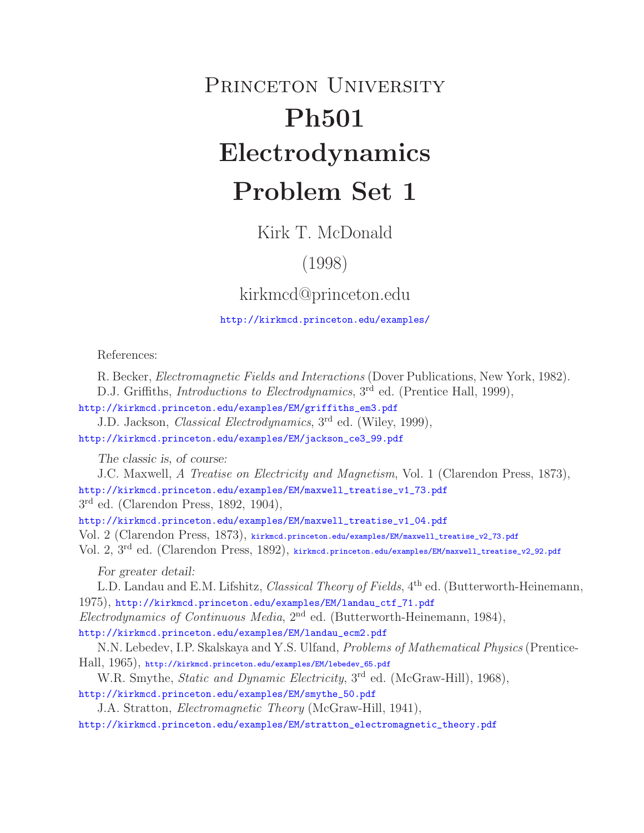## PRINCETON UNIVERSITY **Ph501 Electrodynamics Problem Set 1**

Kirk T. McDonald

## (1998)

kirkmcd@princeton.edu

http://kirkmcd.princeton.edu/examples/

References:

R. Becker, *Electromagnetic Fields and Interactions* (Dover Publications, New York, 1982).

D.J. Griffiths, *Introductions to Electrodynamics*, 3<sup>rd</sup> ed. (Prentice Hall, 1999),

http://kirkmcd.princeton.edu/examples/EM/griffiths\_em3.pdf

J.D. Jackson, *Classical Electrodynamics*, 3rd ed. (Wiley, 1999), http://kirkmcd.princeton.edu/examples/EM/jackson\_ce3\_99.pdf

*The classic is, of course:*

J.C. Maxwell, *A Treatise on Electricity and Magnetism*, Vol. 1 (Clarendon Press, 1873), http://kirkmcd.princeton.edu/examples/EM/maxwell\_treatise\_v1\_73.pdf

3rd ed. (Clarendon Press, 1892, 1904),

http://kirkmcd.princeton.edu/examples/EM/maxwell\_treatise\_v1\_04.pdf

Vol. 2 (Clarendon Press, 1873), kirkmcd.princeton.edu/examples/EM/maxwell\_treatise\_v2\_73.pdf

Vol. 2, 3rd ed. (Clarendon Press, 1892), kirkmcd.princeton.edu/examples/EM/maxwell\_treatise\_v2\_92.pdf

*For greater detail:*

L.D. Landau and E.M. Lifshitz, *Classical Theory of Fields*, 4th ed. (Butterworth-Heinemann, 1975), http://kirkmcd.princeton.edu/examples/EM/landau\_ctf\_71.pdf *Electrodynamics of Continuous Media*, 2nd ed. (Butterworth-Heinemann, 1984), http://kirkmcd.princeton.edu/examples/EM/landau\_ecm2.pdf

N.N. Lebedev, I.P. Skalskaya and Y.S. Ulfand, *Problems of Mathematical Physics* (Prentice-Hall, 1965), http://kirkmcd.princeton.edu/examples/EM/lebedev\_65.pdf

W.R. Smythe, *Static and Dynamic Electricity*, 3rd ed. (McGraw-Hill), 1968),

http://kirkmcd.princeton.edu/examples/EM/smythe\_50.pdf

J.A. Stratton, *Electromagnetic Theory* (McGraw-Hill, 1941),

http://kirkmcd.princeton.edu/examples/EM/stratton\_electromagnetic\_theory.pdf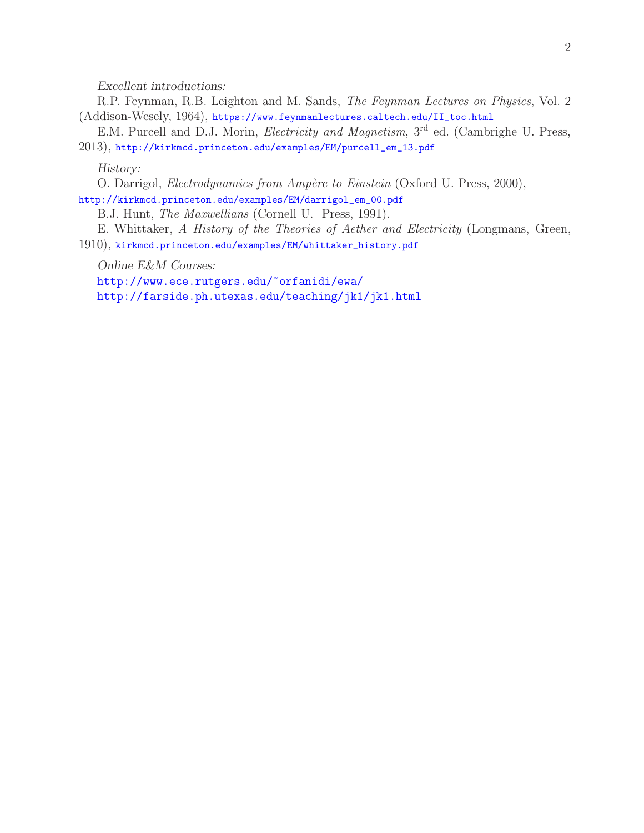*Excellent introductions:*

R.P. Feynman, R.B. Leighton and M. Sands, *The Feynman Lectures on Physics*, Vol. 2 (Addison-Wesely, 1964), https://www.feynmanlectures.caltech.edu/II\_toc.html

E.M. Purcell and D.J. Morin, *Electricity and Magnetism*, 3rd ed. (Cambrighe U. Press, 2013), http://kirkmcd.princeton.edu/examples/EM/purcell\_em\_13.pdf

*History:*

O. Darrigol, *Electrodynamics from Amp`ere to Einstein* (Oxford U. Press, 2000),

http://kirkmcd.princeton.edu/examples/EM/darrigol\_em\_00.pdf

B.J. Hunt, *The Maxwellians* (Cornell U. Press, 1991).

E. Whittaker, *A History of the Theories of Aether and Electricity* (Longmans, Green, 1910), kirkmcd.princeton.edu/examples/EM/whittaker\_history.pdf

*Online E&M Courses:*

http://www.ece.rutgers.edu/~orfanidi/ewa/

http://farside.ph.utexas.edu/teaching/jk1/jk1.html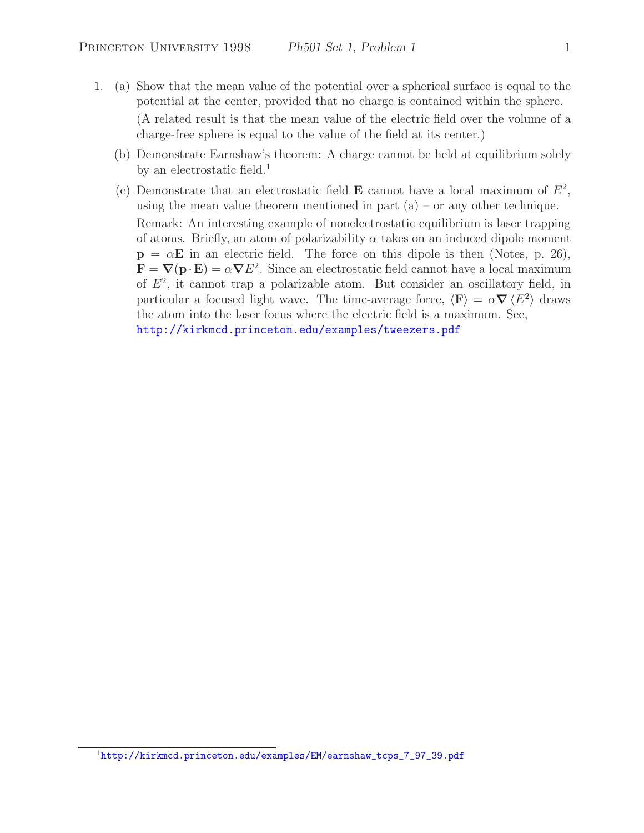- 1. (a) Show that the mean value of the potential over a spherical surface is equal to the potential at the center, provided that no charge is contained within the sphere. (A related result is that the mean value of the electric field over the volume of a charge-free sphere is equal to the value of the field at its center.)
	- (b) Demonstrate Earnshaw's theorem: A charge cannot be held at equilibrium solely by an electrostatic field.<sup>1</sup>
	- (c) Demonstrate that an electrostatic field **E** cannot have a local maximum of  $E^2$ , using the mean value theorem mentioned in part  $(a)$  – or any other technique. Remark: An interesting example of nonelectrostatic equilibrium is laser trapping of atoms. Briefly, an atom of polarizability  $\alpha$  takes on an induced dipole moment  $p = \alpha E$  in an electric field. The force on this dipole is then (Notes, p. 26),  $\mathbf{F} = \nabla(\mathbf{p} \cdot \mathbf{E}) = \alpha \nabla E^2$ . Since an electrostatic field cannot have a local maximum of  $E<sup>2</sup>$ , it cannot trap a polarizable atom. But consider an oscillatory field, in particular a focused light wave. The time-average force,  $\langle \mathbf{F} \rangle = \alpha \nabla \langle E^2 \rangle$  draws the atom into the laser focus where the electric field is a maximum. See, http://kirkmcd.princeton.edu/examples/tweezers.pdf

<sup>&</sup>lt;sup>1</sup>http://kirkmcd.princeton.edu/examples/EM/earnshaw\_tcps\_7\_97\_39.pdf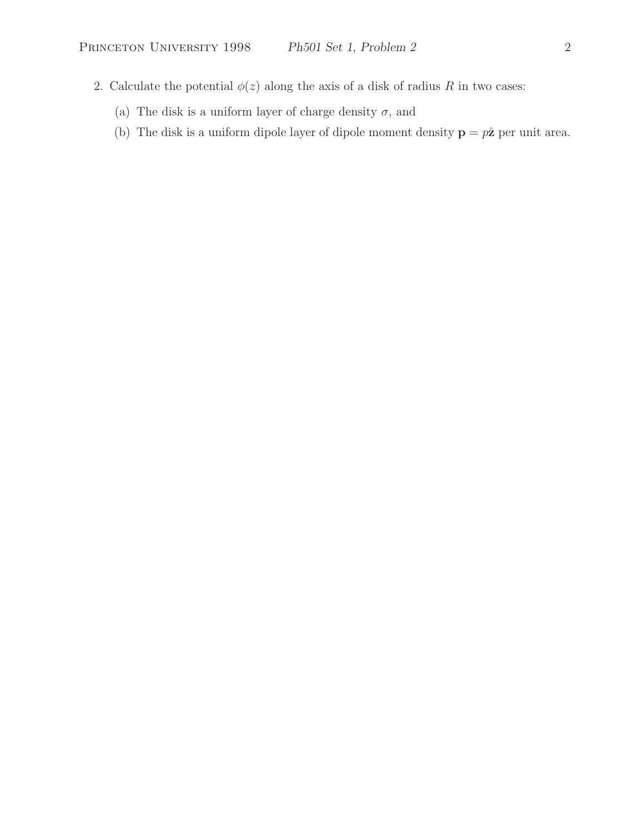- 2. Calculate the potential  $\phi(z)$  along the axis of a disk of radius R in two cases:
	- (a) The disk is a uniform layer of charge density  $\sigma,$  and
	- (b) The disk is a uniform dipole layer of dipole moment density  $\mathbf{p} = p\hat{\mathbf{z}}$  per unit area.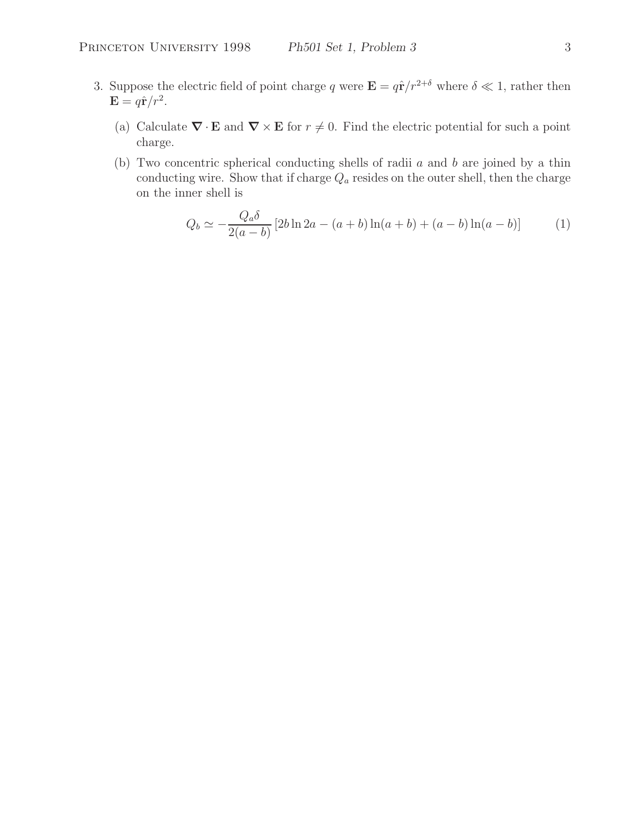- 3. Suppose the electric field of point charge q were  $\mathbf{E} = q\hat{\mathbf{r}}/r^{2+\delta}$  where  $\delta \ll 1$ , rather then  $\mathbf{E} = q\hat{\mathbf{r}}/r^2$ .
	- (a) Calculate  $\nabla \cdot \mathbf{E}$  and  $\nabla \times \mathbf{E}$  for  $r \neq 0$ . Find the electric potential for such a point charge.
	- (b) Two concentric spherical conducting shells of radii a and b are joined by a thin conducting wire. Show that if charge  $Q_a$  resides on the outer shell, then the charge on the inner shell is

$$
Q_b \simeq -\frac{Q_a \delta}{2(a-b)} \left[ 2b \ln 2a - (a+b) \ln(a+b) + (a-b) \ln(a-b) \right] \tag{1}
$$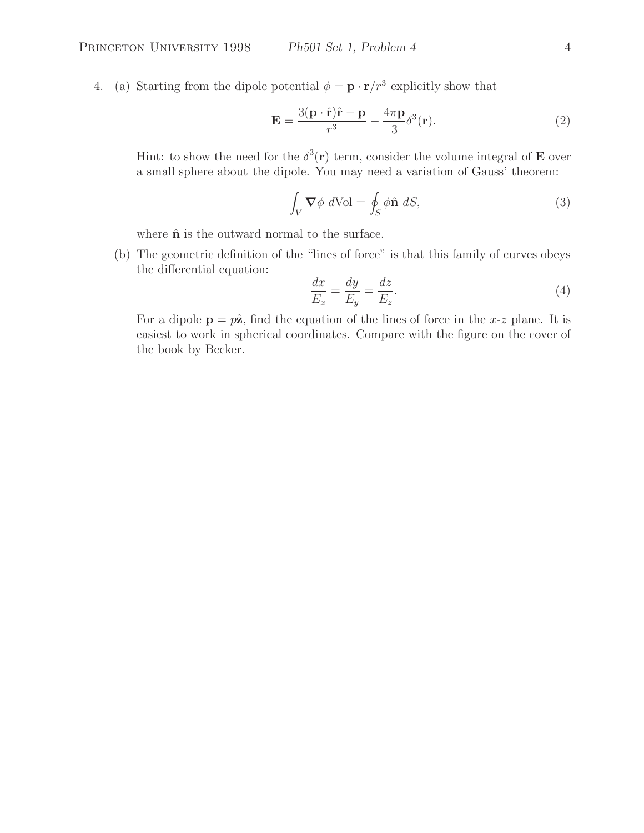4. (a) Starting from the dipole potential  $\phi = \mathbf{p} \cdot \mathbf{r}/r^3$  explicitly show that

$$
\mathbf{E} = \frac{3(\mathbf{p} \cdot \hat{\mathbf{r}})\hat{\mathbf{r}} - \mathbf{p}}{r^3} - \frac{4\pi \mathbf{p}}{3} \delta^3(\mathbf{r}).
$$
 (2)

Hint: to show the need for the  $\delta^3(\mathbf{r})$  term, consider the volume integral of **E** over a small sphere about the dipole. You may need a variation of Gauss' theorem:

$$
\int_{V} \nabla \phi \ d\text{Vol} = \oint_{S} \phi \hat{\mathbf{n}} \ dS,\tag{3}
$$

where  $\hat{\mathbf{n}}$  is the outward normal to the surface.

(b) The geometric definition of the "lines of force" is that this family of curves obeys the differential equation:

$$
\frac{dx}{E_x} = \frac{dy}{E_y} = \frac{dz}{E_z}.\tag{4}
$$

For a dipole  $\mathbf{p} = p\hat{\mathbf{z}}$ , find the equation of the lines of force in the x-z plane. It is easiest to work in spherical coordinates. Compare with the figure on the cover of the book by Becker.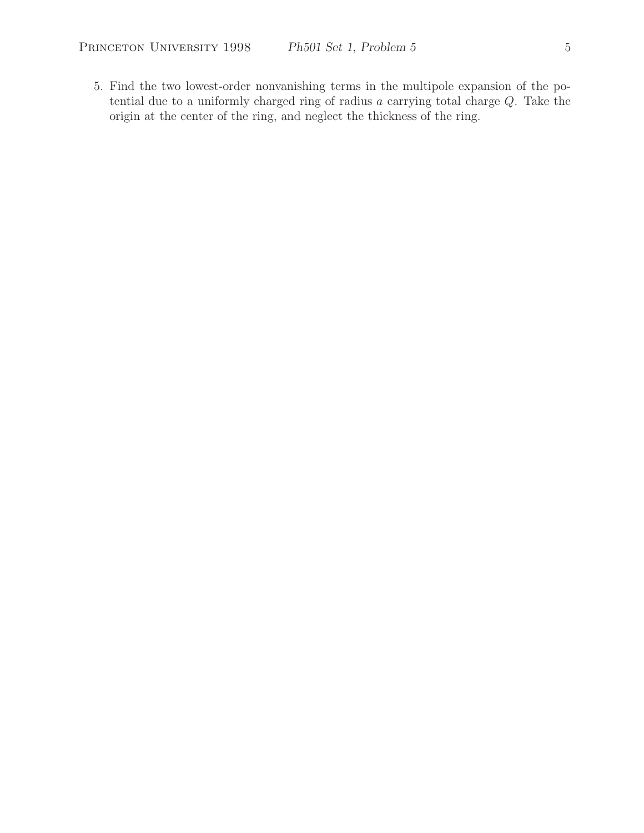5. Find the two lowest-order nonvanishing terms in the multipole expansion of the potential due to a uniformly charged ring of radius a carrying total charge Q. Take the origin at the center of the ring, and neglect the thickness of the ring.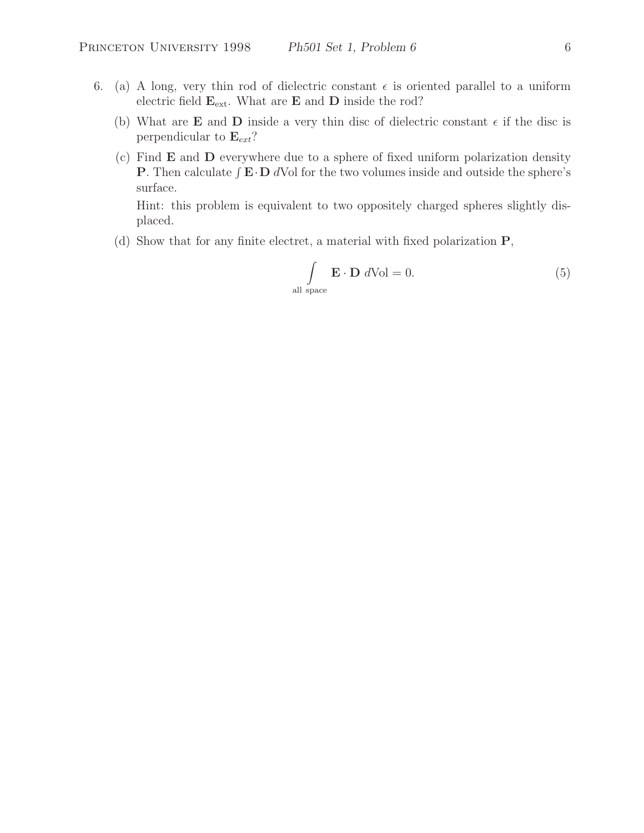- 6. (a) A long, very thin rod of dielectric constant  $\epsilon$  is oriented parallel to a uniform electric field  $\mathbf{E}_{ext}$ . What are **E** and **D** inside the rod?
	- (b) What are **E** and **D** inside a very thin disc of dielectric constant  $\epsilon$  if the disc is perpendicular to  $\mathbf{E}_{ext}$ ?
	- (c) Find **E** and **D** everywhere due to a sphere of fixed uniform polarization density **P**. Then calculate  $\int \mathbf{E} \cdot \mathbf{D} dV$  for the two volumes inside and outside the sphere's surface.

Hint: this problem is equivalent to two oppositely charged spheres slightly displaced.

(d) Show that for any finite electret, a material with fixed polarization **P**,

$$
\int_{\text{all space}} \mathbf{E} \cdot \mathbf{D} \ d\text{Vol} = 0.
$$
 (5)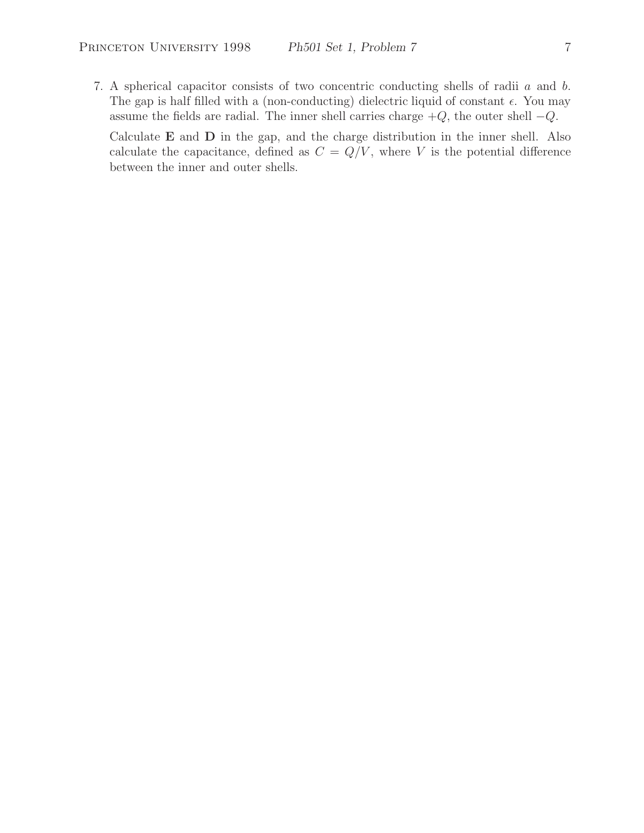7. A spherical capacitor consists of two concentric conducting shells of radii a and b. The gap is half filled with a (non-conducting) dielectric liquid of constant  $\epsilon$ . You may assume the fields are radial. The inner shell carries charge  $+Q$ , the outer shell  $-Q$ .

Calculate **E** and **D** in the gap, and the charge distribution in the inner shell. Also calculate the capacitance, defined as  $C = Q/V$ , where V is the potential difference between the inner and outer shells.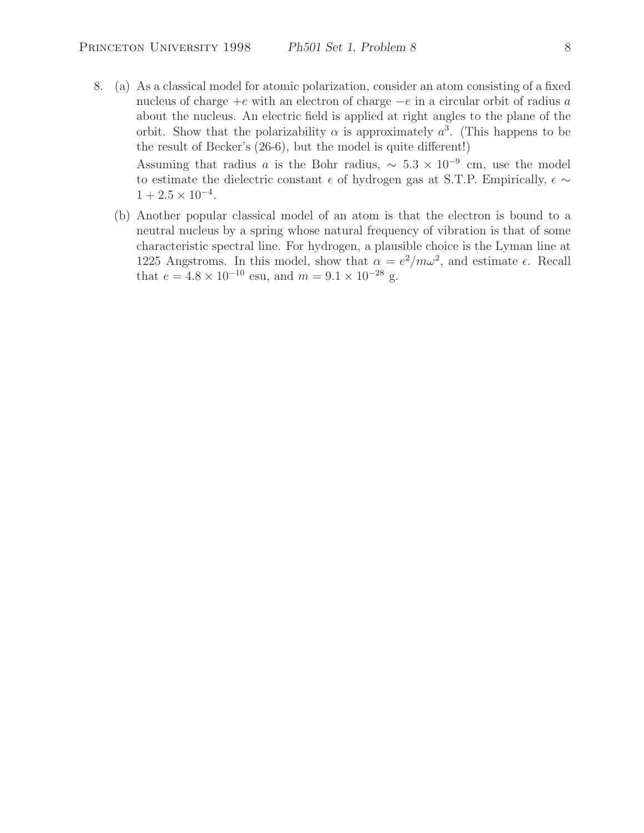8. (a) As a classical model for atomic polarization, consider an atom consisting of a fixed nucleus of charge  $+e$  with an electron of charge  $-e$  in a circular orbit of radius a about the nucleus. An electric field is applied at right angles to the plane of the orbit. Show that the polarizability  $\alpha$  is approximately  $a^3$ . (This happens to be the result of Becker's (26-6), but the model is quite different!) Assuming that radius a is the Bohr radius,  $\sim 5.3 \times 10^{-9}$  cm, use the model

to estimate the dielectric constant  $\epsilon$  of hydrogen gas at S.T.P. Empirically,  $\epsilon \sim$  $1+2.5 \times 10^{-4}$ .

(b) Another popular classical model of an atom is that the electron is bound to a neutral nucleus by a spring whose natural frequency of vibration is that of some characteristic spectral line. For hydrogen, a plausible choice is the Lyman line at 1225 Angstroms. In this model, show that  $\alpha = e^2/m\omega^2$ , and estimate  $\epsilon$ . Recall that  $e = 4.8 \times 10^{-10}$  esu, and  $m = 9.1 \times 10^{-28}$  g.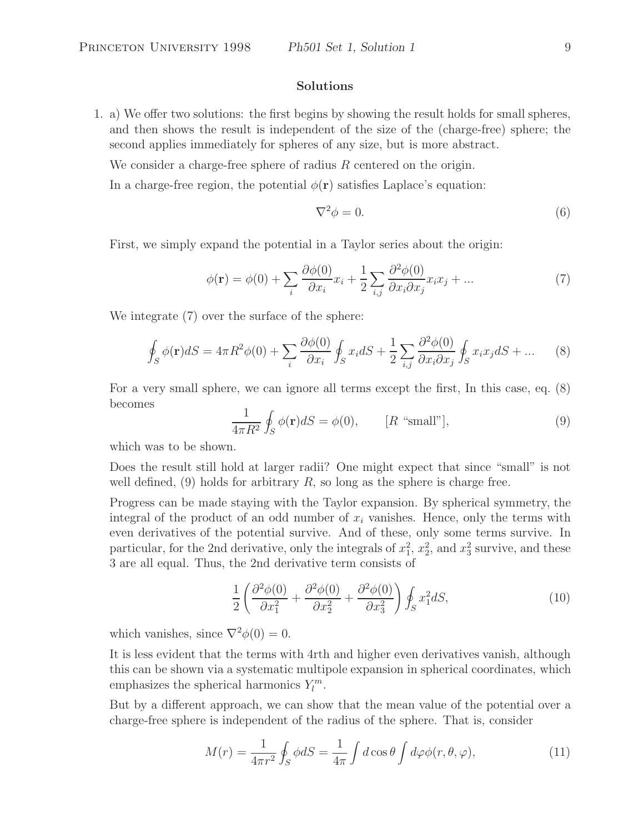## **Solutions**

1. a) We offer two solutions: the first begins by showing the result holds for small spheres, and then shows the result is independent of the size of the (charge-free) sphere; the second applies immediately for spheres of any size, but is more abstract.

We consider a charge-free sphere of radius  $R$  centered on the origin.

In a charge-free region, the potential  $\phi(\mathbf{r})$  satisfies Laplace's equation:

$$
\nabla^2 \phi = 0. \tag{6}
$$

First, we simply expand the potential in a Taylor series about the origin:

$$
\phi(\mathbf{r}) = \phi(0) + \sum_{i} \frac{\partial \phi(0)}{\partial x_i} x_i + \frac{1}{2} \sum_{i,j} \frac{\partial^2 \phi(0)}{\partial x_i \partial x_j} x_i x_j + \dots \tag{7}
$$

We integrate (7) over the surface of the sphere:

$$
\oint_{S} \phi(\mathbf{r}) dS = 4\pi R^{2} \phi(0) + \sum_{i} \frac{\partial \phi(0)}{\partial x_{i}} \oint_{S} x_{i} dS + \frac{1}{2} \sum_{i,j} \frac{\partial^{2} \phi(0)}{\partial x_{i} \partial x_{j}} \oint_{S} x_{i} x_{j} dS + \dots \tag{8}
$$

For a very small sphere, we can ignore all terms except the first, In this case, eq. (8) becomes

$$
\frac{1}{4\pi R^2} \oint_S \phi(\mathbf{r}) dS = \phi(0), \qquad [R \text{ "small"}], \tag{9}
$$

which was to be shown.

Does the result still hold at larger radii? One might expect that since "small" is not well defined,  $(9)$  holds for arbitrary R, so long as the sphere is charge free.

Progress can be made staying with the Taylor expansion. By spherical symmetry, the integral of the product of an odd number of  $x_i$  vanishes. Hence, only the terms with even derivatives of the potential survive. And of these, only some terms survive. In particular, for the 2nd derivative, only the integrals of  $x_1^2$ ,  $x_2^2$ , and  $x_3^2$  survive, and these 3 are all equal. Thus, the 2nd derivative term consists of

$$
\frac{1}{2} \left( \frac{\partial^2 \phi(0)}{\partial x_1^2} + \frac{\partial^2 \phi(0)}{\partial x_2^2} + \frac{\partial^2 \phi(0)}{\partial x_3^2} \right) \oint_S x_1^2 dS,
$$
\n(10)

which vanishes, since  $\nabla^2 \phi(0) = 0$ .

It is less evident that the terms with 4rth and higher even derivatives vanish, although this can be shown via a systematic multipole expansion in spherical coordinates, which emphasizes the spherical harmonics  $Y_l^m$ .

But by a different approach, we can show that the mean value of the potential over a charge-free sphere is independent of the radius of the sphere. That is, consider

$$
M(r) = \frac{1}{4\pi r^2} \oint_S \phi dS = \frac{1}{4\pi} \int d\cos\theta \int d\varphi \phi(r, \theta, \varphi), \tag{11}
$$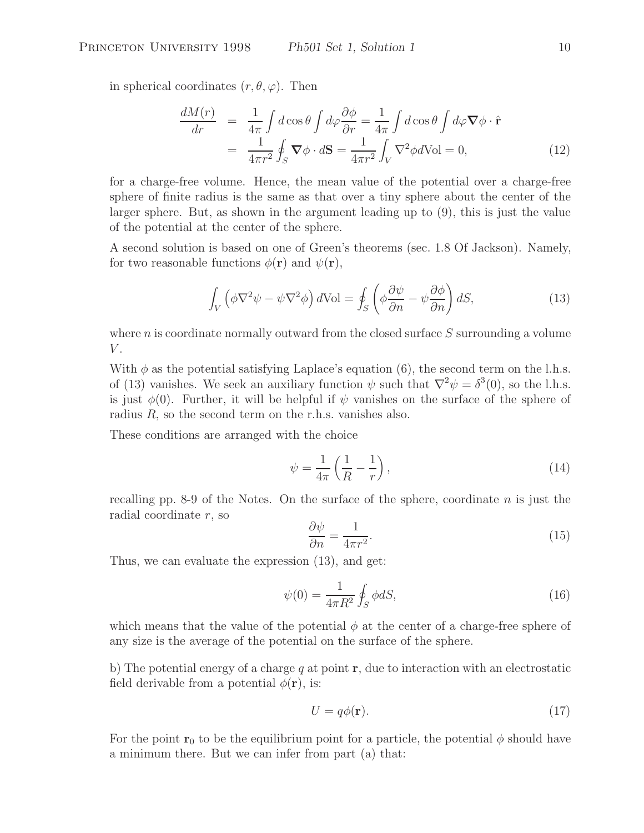in spherical coordinates  $(r, \theta, \varphi)$ . Then

$$
\frac{dM(r)}{dr} = \frac{1}{4\pi} \int d\cos\theta \int d\varphi \frac{\partial \phi}{\partial r} = \frac{1}{4\pi} \int d\cos\theta \int d\varphi \nabla \phi \cdot \hat{\mathbf{r}} \n= \frac{1}{4\pi r^2} \oint_S \nabla \phi \cdot d\mathbf{S} = \frac{1}{4\pi r^2} \int_V \nabla^2 \phi d\text{Vol} = 0,
$$
\n(12)

for a charge-free volume. Hence, the mean value of the potential over a charge-free sphere of finite radius is the same as that over a tiny sphere about the center of the larger sphere. But, as shown in the argument leading up to (9), this is just the value of the potential at the center of the sphere.

A second solution is based on one of Green's theorems (sec. 1.8 Of Jackson). Namely, for two reasonable functions  $\phi(\mathbf{r})$  and  $\psi(\mathbf{r})$ ,

$$
\int_{V} \left( \phi \nabla^2 \psi - \psi \nabla^2 \phi \right) dVol = \oint_{S} \left( \phi \frac{\partial \psi}{\partial n} - \psi \frac{\partial \phi}{\partial n} \right) dS, \tag{13}
$$

where  $n$  is coordinate normally outward from the closed surface  $S$  surrounding a volume  $V$ .

With  $\phi$  as the potential satisfying Laplace's equation (6), the second term on the l.h.s. of (13) vanishes. We seek an auxiliary function  $\psi$  such that  $\nabla^2 \psi = \delta^3(0)$ , so the l.h.s. is just  $\phi(0)$ . Further, it will be helpful if  $\psi$  vanishes on the surface of the sphere of radius  $R$ , so the second term on the r.h.s. vanishes also.

These conditions are arranged with the choice

$$
\psi = \frac{1}{4\pi} \left( \frac{1}{R} - \frac{1}{r} \right),\tag{14}
$$

recalling pp. 8-9 of the Notes. On the surface of the sphere, coordinate  $n$  is just the radial coordinate r, so

$$
\frac{\partial \psi}{\partial n} = \frac{1}{4\pi r^2}.\tag{15}
$$

Thus, we can evaluate the expression (13), and get:

$$
\psi(0) = \frac{1}{4\pi R^2} \oint_S \phi dS,\tag{16}
$$

which means that the value of the potential  $\phi$  at the center of a charge-free sphere of any size is the average of the potential on the surface of the sphere.

b) The potential energy of a charge q at point **r**, due to interaction with an electrostatic field derivable from a potential  $\phi(\mathbf{r})$ , is:

$$
U = q\phi(\mathbf{r}).\tag{17}
$$

For the point **r**<sub>0</sub> to be the equilibrium point for a particle, the potential  $\phi$  should have a minimum there. But we can infer from part (a) that: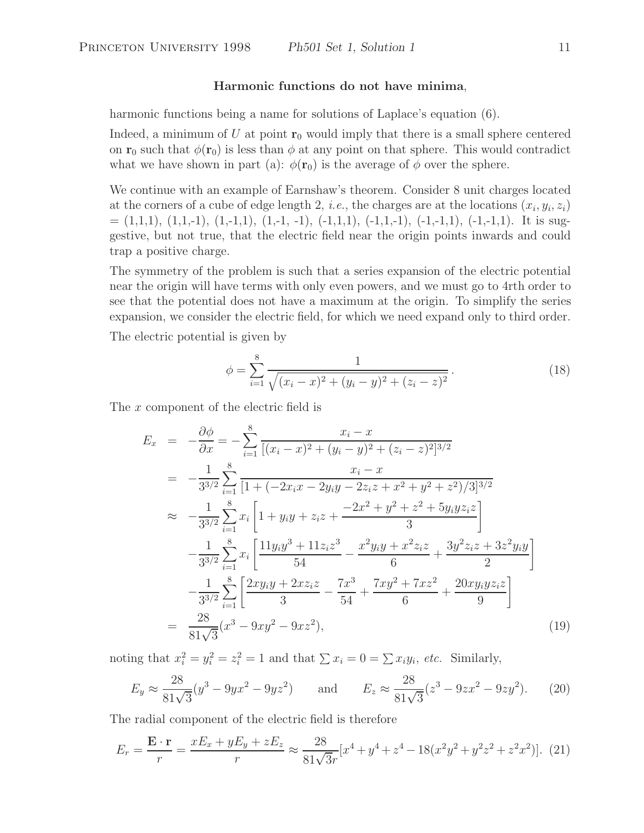## **Harmonic functions do not have minima**,

harmonic functions being a name for solutions of Laplace's equation (6).

Indeed, a minimum of U at point  $\mathbf{r}_0$  would imply that there is a small sphere centered on **r**<sub>0</sub> such that  $\phi(\mathbf{r}_0)$  is less than  $\phi$  at any point on that sphere. This would contradict what we have shown in part (a):  $\phi(\mathbf{r}_0)$  is the average of  $\phi$  over the sphere.

We continue with an example of Earnshaw's theorem. Consider 8 unit charges located at the corners of a cube of edge length 2, *i.e.*, the charges are at the locations  $(x_i, y_i, z_i)$  $=(1,1,1), (1,1,-1), (1,-1,1), (1,-1,-1), (-1,1,1), (-1,1,-1), (-1,-1,1), (-1,-1,1).$  It is suggestive, but not true, that the electric field near the origin points inwards and could trap a positive charge.

The symmetry of the problem is such that a series expansion of the electric potential near the origin will have terms with only even powers, and we must go to 4rth order to see that the potential does not have a maximum at the origin. To simplify the series expansion, we consider the electric field, for which we need expand only to third order.

The electric potential is given by

$$
\phi = \sum_{i=1}^{8} \frac{1}{\sqrt{(x_i - x)^2 + (y_i - y)^2 + (z_i - z)^2}}.
$$
\n(18)

The x component of the electric field is

$$
E_x = -\frac{\partial \phi}{\partial x} = -\sum_{i=1}^8 \frac{x_i - x}{[(x_i - x)^2 + (y_i - y)^2 + (z_i - z)^2]^{3/2}}
$$
  
\n
$$
= -\frac{1}{3^{3/2}} \sum_{i=1}^8 \frac{x_i - x}{[1 + (-2x_i x - 2y_i y - 2z_i z + x^2 + y^2 + z^2)/3]^{3/2}}
$$
  
\n
$$
\approx -\frac{1}{3^{3/2}} \sum_{i=1}^8 x_i \left[ 1 + y_i y + z_i z + \frac{-2x^2 + y^2 + z^2 + 5y_i y z_i z}{3} \right]
$$
  
\n
$$
- \frac{1}{3^{3/2}} \sum_{i=1}^8 x_i \left[ \frac{11y_i y^3 + 11z_i z^3}{54} - \frac{x^2 y_i y + x^2 z_i z}{6} + \frac{3y^2 z_i z + 3z^2 y_i y}{2} \right]
$$
  
\n
$$
- \frac{1}{3^{3/2}} \sum_{i=1}^8 \left[ \frac{2xy_i y + 2xz_i z}{3} - \frac{7x^3}{54} + \frac{7xy^2 + 7xz^2}{6} + \frac{20xy_i y z_i z}{9} \right]
$$
  
\n
$$
= \frac{28}{81\sqrt{3}} (x^3 - 9xy^2 - 9xz^2), \tag{19}
$$

noting that  $x_i^2 = y_i^2 = z_i^2 = 1$  and that  $\sum x_i = 0 = \sum x_i y_i$ , *etc.* Similarly,

$$
E_y \approx \frac{28}{81\sqrt{3}}(y^3 - 9yx^2 - 9yz^2) \quad \text{and} \quad E_z \approx \frac{28}{81\sqrt{3}}(z^3 - 9zx^2 - 9zy^2). \tag{20}
$$

The radial component of the electric field is therefore

$$
E_r = \frac{\mathbf{E} \cdot \mathbf{r}}{r} = \frac{xE_x + yE_y + zE_z}{r} \approx \frac{28}{81\sqrt{3}r} [x^4 + y^4 + z^4 - 18(x^2y^2 + y^2z^2 + z^2x^2)]. \tag{21}
$$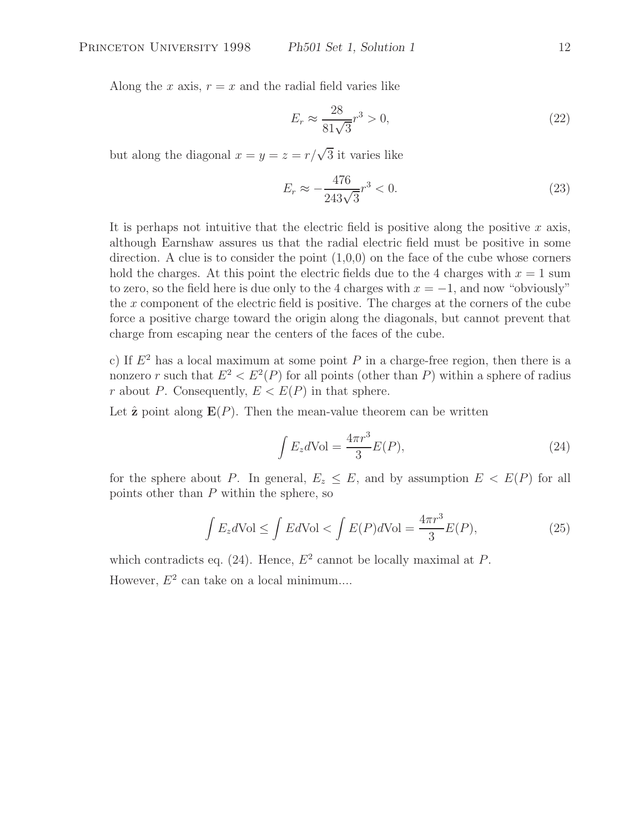Along the x axis,  $r = x$  and the radial field varies like

$$
E_r \approx \frac{28}{81\sqrt{3}} r^3 > 0,
$$
\n(22)

but along the diagonal  $x = y = z = r/\sqrt{3}$  it varies like

$$
E_r \approx -\frac{476}{243\sqrt{3}}r^3 < 0. \tag{23}
$$

It is perhaps not intuitive that the electric field is positive along the positive  $x$  axis, although Earnshaw assures us that the radial electric field must be positive in some direction. A clue is to consider the point  $(1,0,0)$  on the face of the cube whose corners hold the charges. At this point the electric fields due to the 4 charges with  $x = 1$  sum to zero, so the field here is due only to the 4 charges with  $x = -1$ , and now "obviously" the  $x$  component of the electric field is positive. The charges at the corners of the cube force a positive charge toward the origin along the diagonals, but cannot prevent that charge from escaping near the centers of the faces of the cube.

c) If  $E<sup>2</sup>$  has a local maximum at some point P in a charge-free region, then there is a nonzero r such that  $E^2 < E^2(P)$  for all points (other than P) within a sphere of radius r about P. Consequently,  $E < E(P)$  in that sphere.

Let  $\hat{\mathbf{z}}$  point along  $\mathbf{E}(P)$ . Then the mean-value theorem can be written

$$
\int E_z d\text{Vol} = \frac{4\pi r^3}{3} E(P),\tag{24}
$$

for the sphere about P. In general,  $E_z \leq E$ , and by assumption  $E \lt E(P)$  for all points other than  $P$  within the sphere, so

$$
\int E_z d\text{Vol} \le \int E d\text{Vol} < \int E(P) d\text{Vol} = \frac{4\pi r^3}{3} E(P),\tag{25}
$$

which contradicts eq. (24). Hence,  $E^2$  cannot be locally maximal at P. However,  $E^2$  can take on a local minimum....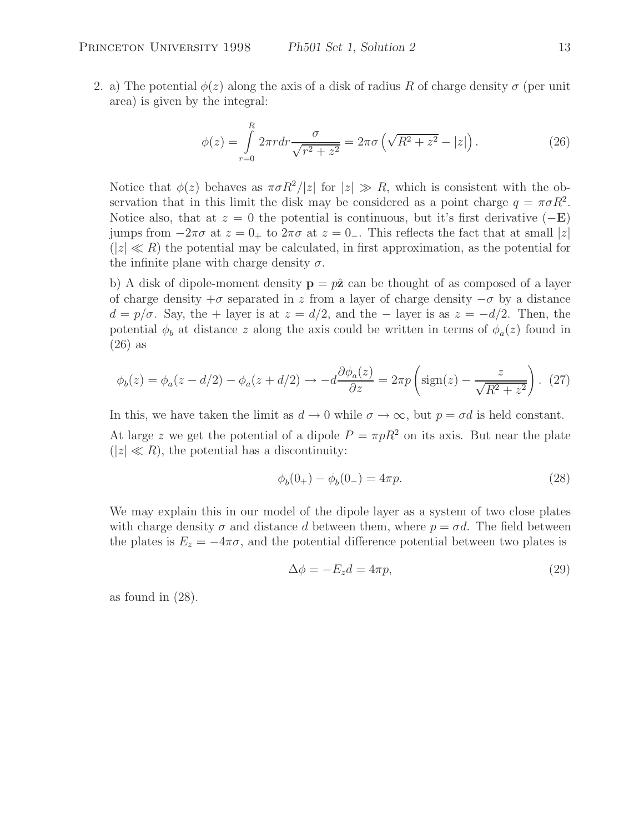2. a) The potential  $\phi(z)$  along the axis of a disk of radius R of charge density  $\sigma$  (per unit area) is given by the integral:

$$
\phi(z) = \int_{r=0}^{R} 2\pi r dr \frac{\sigma}{\sqrt{r^2 + z^2}} = 2\pi \sigma \left( \sqrt{R^2 + z^2} - |z| \right). \tag{26}
$$

Notice that  $\phi(z)$  behaves as  $\pi \sigma R^2/|z|$  for  $|z| \gg R$ , which is consistent with the observation that in this limit the disk may be considered as a point charge  $q = \pi \sigma R^2$ . Notice also, that at  $z = 0$  the potential is continuous, but it's first derivative  $(-E)$ jumps from  $-2\pi\sigma$  at  $z = 0_+$  to  $2\pi\sigma$  at  $z = 0_-$ . This reflects the fact that at small |z|  $(|z| \ll R)$  the potential may be calculated, in first approximation, as the potential for the infinite plane with charge density  $\sigma$ .

b) A disk of dipole-moment density  $p = p\hat{z}$  can be thought of as composed of a layer of charge density  $+\sigma$  separated in z from a layer of charge density  $-\sigma$  by a distance  $d = p/\sigma$ . Say, the + layer is at  $z = d/2$ , and the – layer is as  $z = -d/2$ . Then, the potential  $\phi_b$  at distance z along the axis could be written in terms of  $\phi_a(z)$  found in (26) as

$$
\phi_b(z) = \phi_a(z - d/2) - \phi_a(z + d/2) \rightarrow -d\frac{\partial \phi_a(z)}{\partial z} = 2\pi p \left(\text{sign}(z) - \frac{z}{\sqrt{R^2 + z^2}}\right). (27)
$$

In this, we have taken the limit as  $d \to 0$  while  $\sigma \to \infty$ , but  $p = \sigma d$  is held constant. At large z we get the potential of a dipole  $P = \pi pR^2$  on its axis. But near the plate  $(|z| \ll R)$ , the potential has a discontinuity:

$$
\phi_b(0_+) - \phi_b(0_-) = 4\pi p. \tag{28}
$$

We may explain this in our model of the dipole layer as a system of two close plates with charge density  $\sigma$  and distance d between them, where  $p = \sigma d$ . The field between the plates is  $E_z = -4\pi\sigma$ , and the potential difference potential between two plates is

$$
\Delta \phi = -E_z d = 4\pi p,\tag{29}
$$

as found in (28).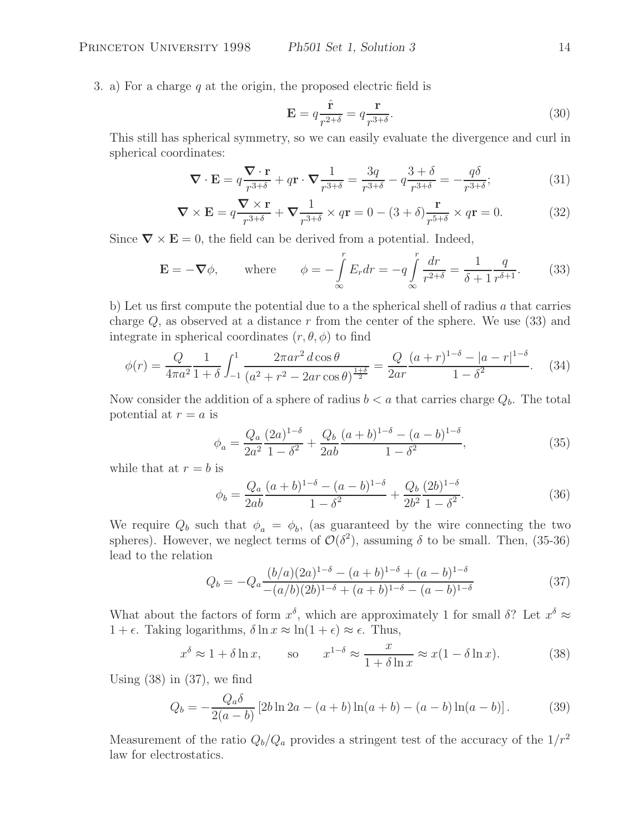3. a) For a charge q at the origin, the proposed electric field is

$$
\mathbf{E} = q \frac{\hat{\mathbf{r}}}{r^{2+\delta}} = q \frac{\mathbf{r}}{r^{3+\delta}}.
$$
\n(30)

This still has spherical symmetry, so we can easily evaluate the divergence and curl in spherical coordinates:

$$
\nabla \cdot \mathbf{E} = q \frac{\nabla \cdot \mathbf{r}}{r^{3+\delta}} + q \mathbf{r} \cdot \nabla \frac{1}{r^{3+\delta}} = \frac{3q}{r^{3+\delta}} - q \frac{3+\delta}{r^{3+\delta}} = -\frac{q\delta}{r^{3+\delta}}; \tag{31}
$$

$$
\nabla \times \mathbf{E} = q \frac{\nabla \times \mathbf{r}}{r^{3+\delta}} + \nabla \frac{1}{r^{3+\delta}} \times q\mathbf{r} = 0 - (3+\delta) \frac{\mathbf{r}}{r^{5+\delta}} \times q\mathbf{r} = 0.
$$
 (32)

Since  $\nabla \times \mathbf{E} = 0$ , the field can be derived from a potential. Indeed,

$$
\mathbf{E} = -\nabla \phi, \qquad \text{where} \qquad \phi = -\int_{\infty}^{r} E_r dr = -q \int_{\infty}^{r} \frac{dr}{r^{2+\delta}} = \frac{1}{\delta + 1} \frac{q}{r^{\delta + 1}}. \tag{33}
$$

b) Let us first compute the potential due to a the spherical shell of radius  $a$  that carries charge  $Q$ , as observed at a distance r from the center of the sphere. We use (33) and integrate in spherical coordinates  $(r, \theta, \phi)$  to find

$$
\phi(r) = \frac{Q}{4\pi a^2} \frac{1}{1+\delta} \int_{-1}^1 \frac{2\pi a r^2 \, d\cos\theta}{(a^2 + r^2 - 2ar\cos\theta)^{\frac{1+\delta}{2}}} = \frac{Q}{2ar} \frac{(a+r)^{1-\delta} - |a-r|^{1-\delta}}{1-\delta^2}.
$$
 (34)

Now consider the addition of a sphere of radius  $b < a$  that carries charge  $Q_b$ . The total potential at  $r = a$  is

$$
\phi_a = \frac{Q_a}{2a^2} \frac{(2a)^{1-\delta}}{1-\delta^2} + \frac{Q_b}{2ab} \frac{(a+b)^{1-\delta} - (a-b)^{1-\delta}}{1-\delta^2},\tag{35}
$$

while that at  $r = b$  is

$$
\phi_b = \frac{Q_a}{2ab} \frac{(a+b)^{1-\delta} - (a-b)^{1-\delta}}{1-\delta^2} + \frac{Q_b}{2b^2} \frac{(2b)^{1-\delta}}{1-\delta^2}.
$$
\n(36)

We require  $Q_b$  such that  $\phi_a = \phi_b$ , (as guaranteed by the wire connecting the two spheres). However, we neglect terms of  $\mathcal{O}(\delta^2)$ , assuming  $\delta$  to be small. Then, (35-36) lead to the relation

$$
Q_b = -Q_a \frac{(b/a)(2a)^{1-\delta} - (a+b)^{1-\delta} + (a-b)^{1-\delta}}{-(a/b)(2b)^{1-\delta} + (a+b)^{1-\delta} - (a-b)^{1-\delta}}
$$
(37)

What about the factors of form  $x^{\delta}$ , which are approximately 1 for small  $\delta$ ? Let  $x^{\delta} \approx$  $1 + \epsilon$ . Taking logarithms,  $\delta \ln x \approx \ln(1 + \epsilon) \approx \epsilon$ . Thus,

$$
x^{\delta} \approx 1 + \delta \ln x,
$$
 so  $x^{1-\delta} \approx \frac{x}{1 + \delta \ln x} \approx x(1 - \delta \ln x).$  (38)

Using  $(38)$  in  $(37)$ , we find

$$
Q_b = -\frac{Q_a \delta}{2(a-b)} \left[ 2b \ln 2a - (a+b) \ln(a+b) - (a-b) \ln(a-b) \right].
$$
 (39)

Measurement of the ratio  $Q_b/Q_a$  provides a stringent test of the accuracy of the  $1/r^2$ law for electrostatics.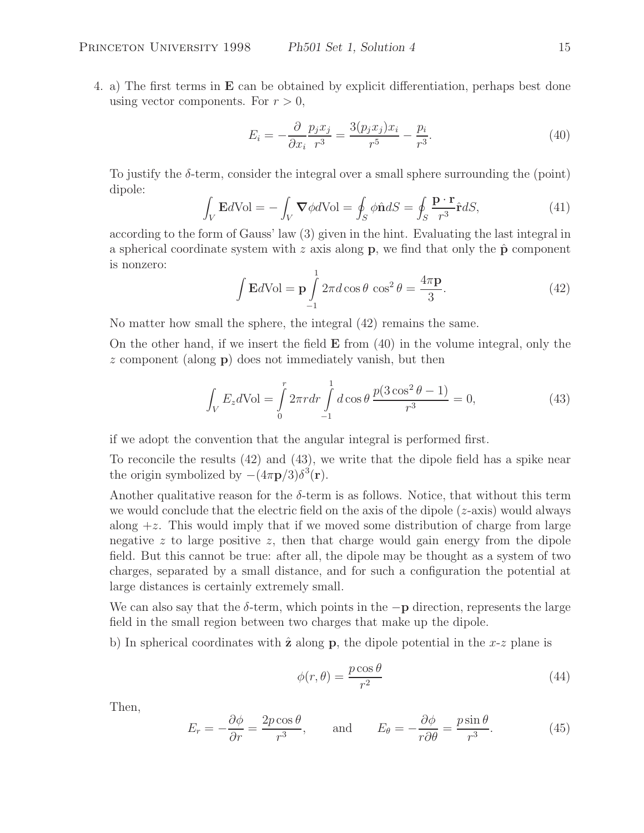4. a) The first terms in **E** can be obtained by explicit differentiation, perhaps best done using vector components. For  $r > 0$ ,

$$
E_i = -\frac{\partial}{\partial x_i} \frac{p_j x_j}{r^3} = \frac{3(p_j x_j) x_i}{r^5} - \frac{p_i}{r^3}.
$$
\n(40)

To justify the  $\delta$ -term, consider the integral over a small sphere surrounding the (point) dipole:

$$
\int_{V} \mathbf{E}dVol = -\int_{V} \mathbf{\nabla} \phi dVol = \oint_{S} \phi \hat{\mathbf{n}} dS = \oint_{S} \frac{\mathbf{p} \cdot \mathbf{r}}{r^{3}} \hat{\mathbf{r}} dS, \tag{41}
$$

according to the form of Gauss' law (3) given in the hint. Evaluating the last integral in a spherical coordinate system with z axis along **p**, we find that only the  $\hat{p}$  component is nonzero: 1

$$
\int \mathbf{E}d\mathrm{Vol} = \mathbf{p} \int_{-1}^{1} 2\pi d\cos\theta \, \cos^2\theta = \frac{4\pi\mathbf{p}}{3}.
$$
 (42)

No matter how small the sphere, the integral (42) remains the same.

On the other hand, if we insert the field **E** from (40) in the volume integral, only the z component (along **p**) does not immediately vanish, but then

$$
\int_{V} E_{z} d\text{Vol} = \int_{0}^{r} 2\pi r dr \int_{-1}^{1} d\cos\theta \, \frac{p(3\cos^{2}\theta - 1)}{r^{3}} = 0,\tag{43}
$$

if we adopt the convention that the angular integral is performed first.

To reconcile the results (42) and (43), we write that the dipole field has a spike near the origin symbolized by  $-(4\pi \mathbf{p}/3)\delta^3(\mathbf{r})$ .

Another qualitative reason for the  $\delta$ -term is as follows. Notice, that without this term we would conclude that the electric field on the axis of the dipole  $(z\text{-axis})$  would always along  $+z$ . This would imply that if we moved some distribution of charge from large negative z to large positive z, then that charge would gain energy from the dipole field. But this cannot be true: after all, the dipole may be thought as a system of two charges, separated by a small distance, and for such a configuration the potential at large distances is certainly extremely small.

We can also say that the <sup>δ</sup>-term, which points in the <sup>−</sup>**<sup>p</sup>** direction, represents the large field in the small region between two charges that make up the dipole.

b) In spherical coordinates with  $\hat{z}$  along  $p$ , the dipole potential in the  $x-z$  plane is

$$
\phi(r,\theta) = \frac{p\cos\theta}{r^2} \tag{44}
$$

Then,

$$
E_r = -\frac{\partial \phi}{\partial r} = \frac{2p \cos \theta}{r^3}, \quad \text{and} \quad E_\theta = -\frac{\partial \phi}{r \partial \theta} = \frac{p \sin \theta}{r^3}.
$$
 (45)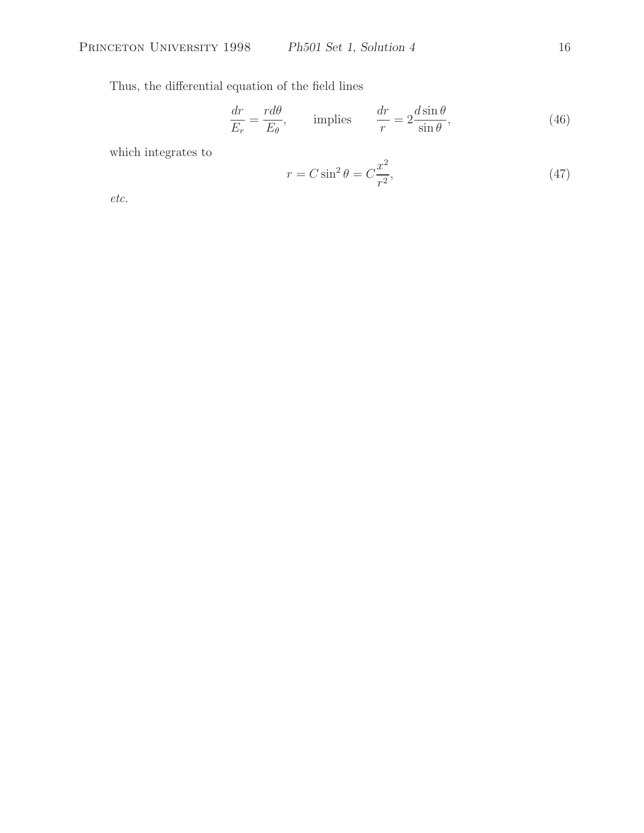Thus, the differential equation of the field lines

$$
\frac{dr}{E_r} = \frac{rd\theta}{E_\theta}, \qquad \text{implies} \qquad \frac{dr}{r} = 2\frac{d\sin\theta}{\sin\theta}, \tag{46}
$$

which integrates to

$$
r = C\sin^2\theta = C\frac{x^2}{r^2},\tag{47}
$$

*etc.*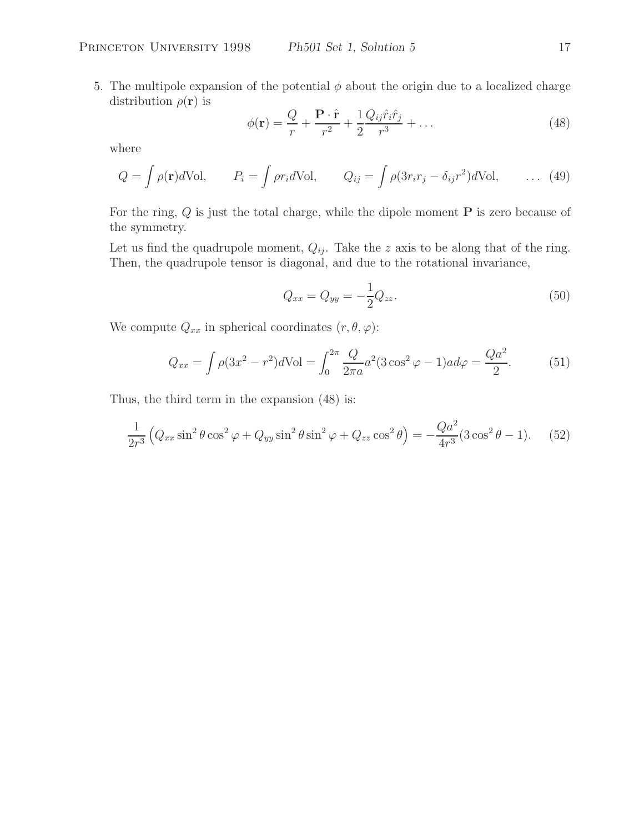5. The multipole expansion of the potential  $\phi$  about the origin due to a localized charge distribution  $\rho(\mathbf{r})$  is

$$
\phi(\mathbf{r}) = \frac{Q}{r} + \frac{\mathbf{P} \cdot \hat{\mathbf{r}}}{r^2} + \frac{1}{2} \frac{Q_{ij} \hat{r}_i \hat{r}_j}{r^3} + \dots
$$
\n(48)

where

$$
Q = \int \rho(\mathbf{r}) d\text{Vol}, \qquad P_i = \int \rho r_i d\text{Vol}, \qquad Q_{ij} = \int \rho(3r_i r_j - \delta_{ij} r^2) d\text{Vol}, \qquad \dots \tag{49}
$$

For the ring, Q is just the total charge, while the dipole moment **P** is zero because of the symmetry.

Let us find the quadrupole moment,  $Q_{ij}$ . Take the z axis to be along that of the ring. Then, the quadrupole tensor is diagonal, and due to the rotational invariance,

$$
Q_{xx} = Q_{yy} = -\frac{1}{2}Q_{zz}.
$$
\n(50)

We compute  $Q_{xx}$  in spherical coordinates  $(r, \theta, \varphi)$ :

$$
Q_{xx} = \int \rho (3x^2 - r^2) d\text{Vol} = \int_0^{2\pi} \frac{Q}{2\pi a} a^2 (3\cos^2 \varphi - 1) a d\varphi = \frac{Qa^2}{2}.
$$
 (51)

Thus, the third term in the expansion (48) is:

$$
\frac{1}{2r^3} \left( Q_{xx} \sin^2 \theta \cos^2 \varphi + Q_{yy} \sin^2 \theta \sin^2 \varphi + Q_{zz} \cos^2 \theta \right) = -\frac{Qa^2}{4r^3} (3 \cos^2 \theta - 1). \tag{52}
$$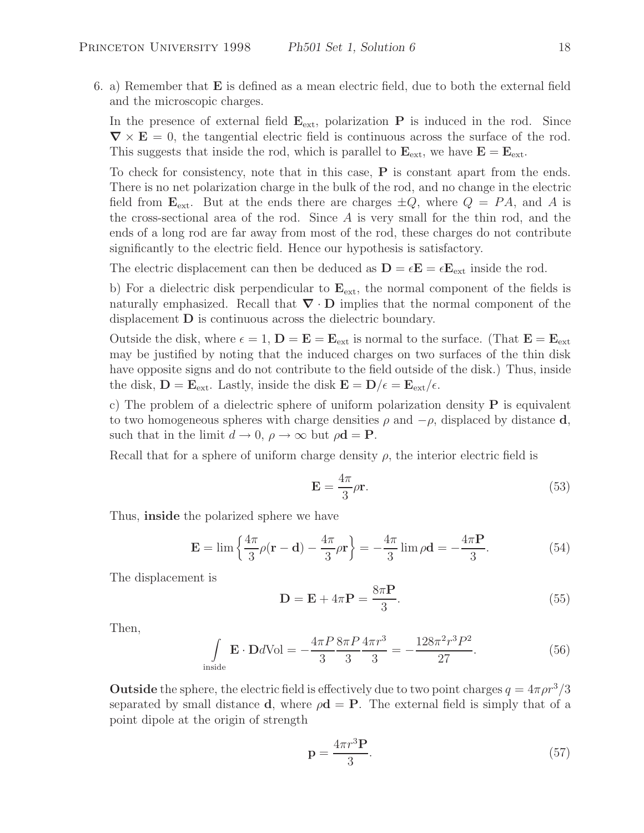6. a) Remember that **E** is defined as a mean electric field, due to both the external field and the microscopic charges.

In the presence of external field  $\mathbf{E}_{ext}$ , polarization **P** is induced in the rod. Since  $\nabla \times \mathbf{E} = 0$ , the tangential electric field is continuous across the surface of the rod. This suggests that inside the rod, which is parallel to  $\mathbf{E}_{ext}$ , we have  $\mathbf{E} = \mathbf{E}_{ext}$ .

To check for consistency, note that in this case, **P** is constant apart from the ends. There is no net polarization charge in the bulk of the rod, and no change in the electric field from  $\mathbf{E}_{ext}$ . But at the ends there are charges  $\pm Q$ , where  $Q = PA$ , and A is the cross-sectional area of the rod. Since  $A$  is very small for the thin rod, and the ends of a long rod are far away from most of the rod, these charges do not contribute significantly to the electric field. Hence our hypothesis is satisfactory.

The electric displacement can then be deduced as  $\mathbf{D} = \epsilon \mathbf{E} = \epsilon \mathbf{E}_{ext}$  inside the rod.

b) For a dielectric disk perpendicular to **E**ext, the normal component of the fields is naturally emphasized. Recall that *<sup>∇</sup>* · **<sup>D</sup>** implies that the normal component of the displacement **D** is continuous across the dielectric boundary.

Outside the disk, where  $\epsilon = 1$ ,  $\mathbf{D} = \mathbf{E} = \mathbf{E}_{ext}$  is normal to the surface. (That  $\mathbf{E} = \mathbf{E}_{ext}$ may be justified by noting that the induced charges on two surfaces of the thin disk have opposite signs and do not contribute to the field outside of the disk.) Thus, inside the disk,  $\mathbf{D} = \mathbf{E}_{ext}$ . Lastly, inside the disk  $\mathbf{E} = \mathbf{D}/\epsilon = \mathbf{E}_{ext}/\epsilon$ .

c) The problem of a dielectric sphere of uniform polarization density **P** is equivalent to two homogeneous spheres with charge densities  $\rho$  and  $-\rho$ , displaced by distance **d**, such that in the limit  $d \to 0$ ,  $\rho \to \infty$  but  $\rho \mathbf{d} = \mathbf{P}$ .

Recall that for a sphere of uniform charge density  $\rho$ , the interior electric field is

$$
\mathbf{E} = \frac{4\pi}{3}\rho \mathbf{r}.\tag{53}
$$

Thus, **inside** the polarized sphere we have

$$
\mathbf{E} = \lim \left\{ \frac{4\pi}{3}\rho(\mathbf{r} - \mathbf{d}) - \frac{4\pi}{3}\rho \mathbf{r} \right\} = -\frac{4\pi}{3}\lim \rho \mathbf{d} = -\frac{4\pi \mathbf{P}}{3}.
$$
 (54)

The displacement is

$$
\mathbf{D} = \mathbf{E} + 4\pi \mathbf{P} = \frac{8\pi \mathbf{P}}{3}.
$$
 (55)

Then,

$$
\int_{\text{inside}} \mathbf{E} \cdot \mathbf{D}d\text{Vol} = -\frac{4\pi P}{3} \frac{8\pi P}{3} \frac{4\pi r^3}{3} = -\frac{128\pi^2 r^3 P^2}{27}.
$$
\n(56)

**Outside** the sphere, the electric field is effectively due to two point charges  $q = 4\pi \rho r^3/3$ separated by small distance **d**, where  $\rho \mathbf{d} = \mathbf{P}$ . The external field is simply that of a point dipole at the origin of strength

$$
\mathbf{p} = \frac{4\pi r^3 \mathbf{P}}{3}.\tag{57}
$$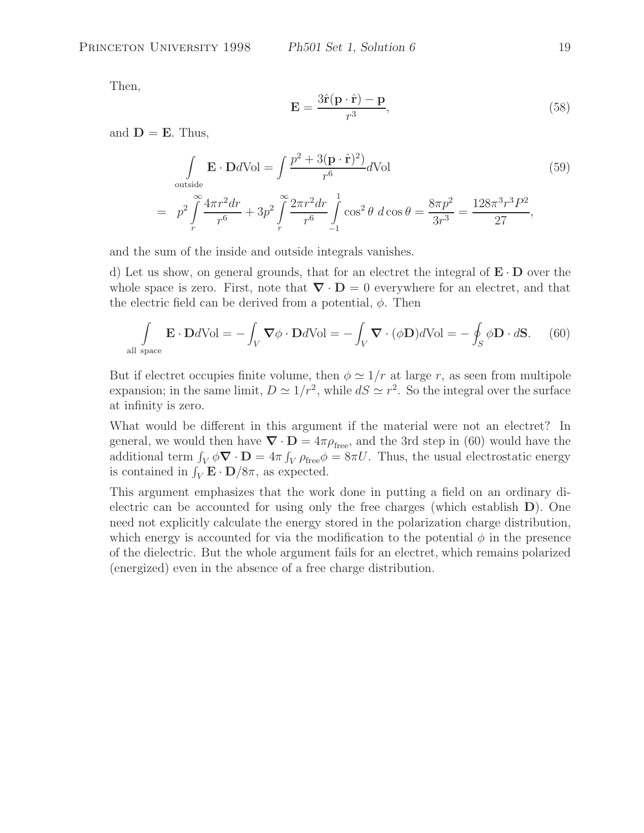Then,

$$
\mathbf{E} = \frac{3\hat{\mathbf{r}}(\mathbf{p} \cdot \hat{\mathbf{r}}) - \mathbf{p}}{r^3},\tag{58}
$$

and  $D = E$ . Thus,

$$
\int_{\text{outside}} \mathbf{E} \cdot \mathbf{D}d\text{Vol} = \int \frac{p^2 + 3(\mathbf{p} \cdot \hat{\mathbf{r}})^2}{r^6} d\text{Vol}
$$
(59)  
=  $p^2 \int_{r}^{\infty} \frac{4\pi r^2 dr}{r^6} + 3p^2 \int_{r}^{\infty} \frac{2\pi r^2 dr}{r^6} \int_{-1}^{1} \cos^2 \theta \, d\cos \theta = \frac{8\pi p^2}{3r^3} = \frac{128\pi^3 r^3 P^2}{27},$ 

and the sum of the inside and outside integrals vanishes.

d) Let us show, on general grounds, that for an electret the integral of **<sup>E</sup>** · **<sup>D</sup>** over the whole space is zero. First, note that  $\nabla \cdot \mathbf{D} = 0$  everywhere for an electret, and that the electric field can be derived from a potential,  $\phi$ . Then

$$
\int_{\text{all space}} \mathbf{E} \cdot \mathbf{D} d\text{Vol} = -\int_{V} \mathbf{\nabla} \phi \cdot \mathbf{D} d\text{Vol} = -\int_{V} \mathbf{\nabla} \cdot (\phi \mathbf{D}) d\text{Vol} = -\oint_{S} \phi \mathbf{D} \cdot d\mathbf{S}.
$$
 (60)

But if electret occupies finite volume, then  $\phi \simeq 1/r$  at large r, as seen from multipole expansion; in the same limit,  $D \simeq 1/r^2$ , while  $dS \simeq r^2$ . So the integral over the surface at infinity is zero.

What would be different in this argument if the material were not an electret? In general, we would then have  $\nabla \cdot \mathbf{D} = 4\pi \rho_{\text{free}}$ , and the 3rd step in (60) would have the additional term  $\int_V \phi \nabla \cdot \mathbf{D} = 4\pi \int_V \rho_{\text{free}} \phi = 8\pi U$ . Thus, the usual electrostatic energy is contained in  $\int_V \mathbf{E} \cdot \mathbf{D}/8\pi$ , as expected.

This argument emphasizes that the work done in putting a field on an ordinary dielectric can be accounted for using only the free charges (which establish **D**). One need not explicitly calculate the energy stored in the polarization charge distribution, which energy is accounted for via the modification to the potential  $\phi$  in the presence of the dielectric. But the whole argument fails for an electret, which remains polarized (energized) even in the absence of a free charge distribution.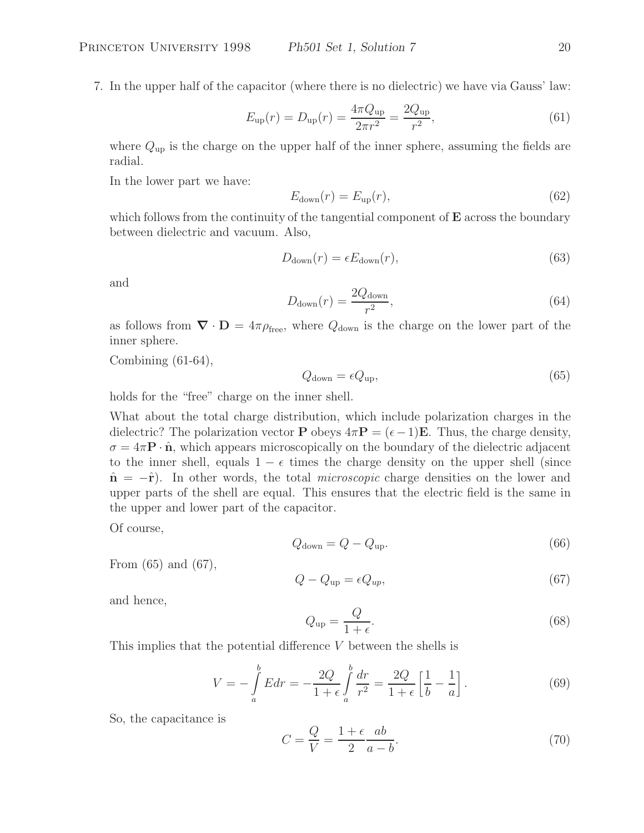7. In the upper half of the capacitor (where there is no dielectric) we have via Gauss' law:

$$
E_{\rm up}(r) = D_{\rm up}(r) = \frac{4\pi Q_{\rm up}}{2\pi r^2} = \frac{2Q_{\rm up}}{r^2},\tag{61}
$$

where  $Q_{\text{up}}$  is the charge on the upper half of the inner sphere, assuming the fields are radial.

In the lower part we have:

$$
E_{\text{down}}(r) = E_{\text{up}}(r),\tag{62}
$$

which follows from the continuity of the tangential component of **E** across the boundary between dielectric and vacuum. Also,

$$
D_{\text{down}}(r) = \epsilon E_{\text{down}}(r),\tag{63}
$$

and

$$
D_{\text{down}}(r) = \frac{2Q_{\text{down}}}{r^2},\tag{64}
$$

as follows from  $\nabla \cdot \mathbf{D} = 4\pi \rho_{\text{free}}$ , where  $Q_{\text{down}}$  is the charge on the lower part of the inner sphere.

Combining  $(61-64)$ ,

$$
Q_{\text{down}} = \epsilon Q_{\text{up}},\tag{65}
$$

holds for the "free" charge on the inner shell.

What about the total charge distribution, which include polarization charges in the dielectric? The polarization vector **P** obeys  $4\pi$ **P** =  $(\epsilon - 1)$ **E**. Thus, the charge density,  $\sigma = 4\pi \mathbf{P} \cdot \hat{\mathbf{n}}$ , which appears microscopically on the boundary of the dielectric adjacent to the inner shell, equals  $1 - \epsilon$  times the charge density on the upper shell (since **<sup>n</sup>**<sup>ˆ</sup> <sup>=</sup> <sup>−</sup>ˆ**r**). In other words, the total *microscopic* charge densities on the lower and upper parts of the shell are equal. This ensures that the electric field is the same in the upper and lower part of the capacitor.

Of course,

$$
Q_{\text{down}} = Q - Q_{\text{up}}.\tag{66}
$$

From (65) and (67),

$$
Q - Q_{\rm up} = \epsilon Q_{up},\tag{67}
$$

and hence,

$$
Q_{\rm up} = \frac{Q}{1 + \epsilon}.\tag{68}
$$

This implies that the potential difference V between the shells is

$$
V = -\int_{a}^{b} E dr = -\frac{2Q}{1+\epsilon} \int_{a}^{b} \frac{dr}{r^2} = \frac{2Q}{1+\epsilon} \left[ \frac{1}{b} - \frac{1}{a} \right].
$$
 (69)

So, the capacitance is

$$
C = \frac{Q}{V} = \frac{1 + \epsilon}{2} \frac{ab}{a - b}.
$$
\n(70)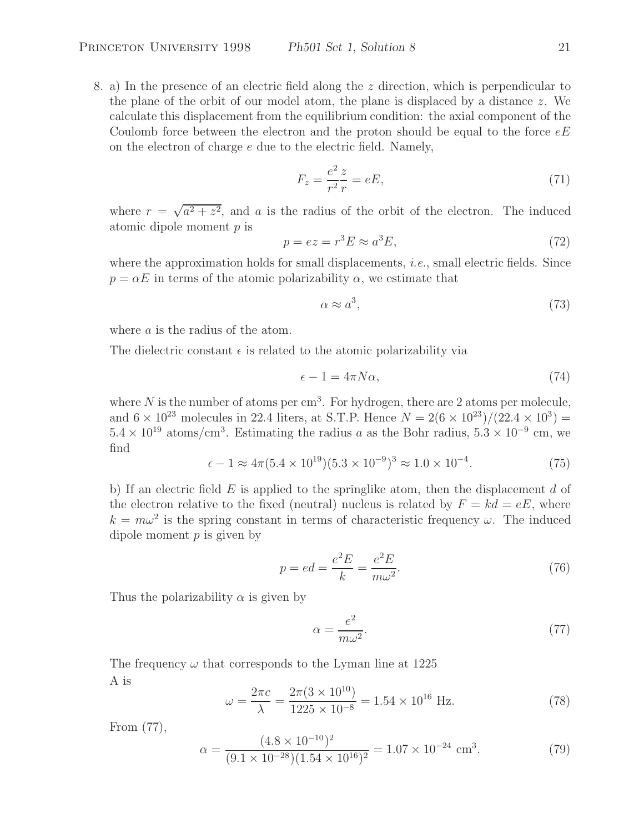8. a) In the presence of an electric field along the z direction, which is perpendicular to the plane of the orbit of our model atom, the plane is displaced by a distance  $z$ . We calculate this displacement from the equilibrium condition: the axial component of the Coulomb force between the electron and the proton should be equal to the force  $eE$ on the electron of charge  $e$  due to the electric field. Namely,

$$
F_z = \frac{e^2}{r^2} \frac{z}{r} = eE,\tag{71}
$$

where  $r = \sqrt{a^2 + z^2}$ , and a is the radius of the orbit of the electron. The induced atomic dipole moment  $p$  is

$$
p = ez = r^3 E \approx a^3 E,\tag{72}
$$

where the approximation holds for small displacements, *i.e.*, small electric fields. Since  $p = \alpha E$  in terms of the atomic polarizability  $\alpha$ , we estimate that

$$
\alpha \approx a^3,\tag{73}
$$

where a is the radius of the atom.

The dielectric constant  $\epsilon$  is related to the atomic polarizability via

$$
\epsilon - 1 = 4\pi N\alpha,\tag{74}
$$

where N is the number of atoms per  $\text{cm}^3$ . For hydrogen, there are 2 atoms per molecule, and  $6 \times 10^{23}$  molecules in 22.4 liters, at S.T.P. Hence  $N = 2(6 \times 10^{23})/(22.4 \times 10^{3}) =$  $5.4 \times 10^{19}$  atoms/cm<sup>3</sup>. Estimating the radius a as the Bohr radius,  $5.3 \times 10^{-9}$  cm, we find

$$
\epsilon - 1 \approx 4\pi (5.4 \times 10^{19})(5.3 \times 10^{-9})^3 \approx 1.0 \times 10^{-4}.
$$
 (75)

b) If an electric field  $E$  is applied to the springlike atom, then the displacement  $d$  of the electron relative to the fixed (neutral) nucleus is related by  $F = kd = eE$ , where  $k = m\omega^2$  is the spring constant in terms of characteristic frequency  $\omega$ . The induced dipole moment  $p$  is given by

$$
p = ed = \frac{e^2 E}{k} = \frac{e^2 E}{m\omega^2}.
$$
\n(76)

Thus the polarizability  $\alpha$  is given by

$$
\alpha = \frac{e^2}{m\omega^2}.\tag{77}
$$

The frequency  $\omega$  that corresponds to the Lyman line at 1225 A is

$$
\omega = \frac{2\pi c}{\lambda} = \frac{2\pi (3 \times 10^{10})}{1225 \times 10^{-8}} = 1.54 \times 10^{16} \text{ Hz.}
$$
 (78)

From (77),

$$
\alpha = \frac{(4.8 \times 10^{-10})^2}{(9.1 \times 10^{-28})(1.54 \times 10^{16})^2} = 1.07 \times 10^{-24} \text{ cm}^3. \tag{79}
$$